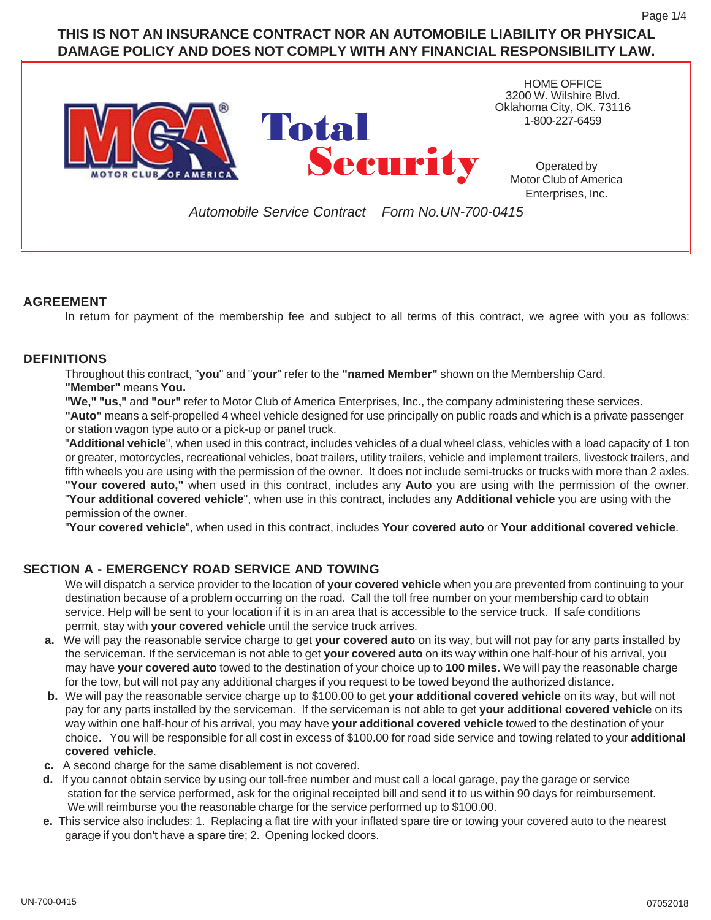# **THIS IS NOT AN INSURANCE CONTRACT NOR AN AUTOMOBILE LIABILITY OR PHYSICAL DAMAGE POLICY AND DOES NOT COMPLY WITH ANY FINANCIAL RESPONSIBILITY LAW.**



### **AGREEMENT**

In return for payment of the membership fee and subject to all terms of this contract, we agree with you as follows:

### **DEFINITIONS**

Throughout this contract, "**you**" and "**your**" refer to the **"named Member"** shown on the Membership Card. **"Member"** means **You.**

**"We," "us,"** and **"our"** refer to Motor Club of America Enterprises, Inc., the company administering these services.

**"Auto"** means a self-propelled 4 wheel vehicle designed for use principally on public roads and which is a private passenger or station wagon type auto or a pick-up or panel truck.

"**Additional vehicle**", when used in this contract, includes vehicles of a dual wheel class, vehicles with a load capacity of 1 ton or greater, motorcycles, recreational vehicles, boat trailers, utility trailers, vehicle and implement trailers, livestock trailers, and fifth wheels you are using with the permission of the owner. It does not include semi-trucks or trucks with more than 2 axles. **"Your covered auto,"** when used in this contract, includes any **Auto** you are using with the permission of the owner. "**Your additional covered vehicle**", when use in this contract, includes any **Additional vehicle** you are using with the permission of the owner.

"**Your covered vehicle**", when used in this contract, includes **Your covered auto** or **Your additional covered vehicle**.

# **SECTION A - EMERGENCY ROAD SERVICE AND TOWING**

We will dispatch a service provider to the location of **your covered vehicle** when you are prevented from continuing to your destination because of a problem occurring on the road. Call the toll free number on your membership card to obtain service. Help will be sent to your location if it is in an area that is accessible to the service truck. If safe conditions permit, stay with **your covered vehicle** until the service truck arrives.

- **a.** We will pay the reasonable service charge to get **your covered auto** on its way, but will not pay for any parts installed by the serviceman. If the serviceman is not able to get **your covered auto** on its way within one half-hour of his arrival, you may have **your covered auto** towed to the destination of your choice up to **100 miles**. We will pay the reasonable charge for the tow, but will not pay any additional charges if you request to be towed beyond the authorized distance.
- **b.** We will pay the reasonable service charge up to \$100.00 to get **your additional covered vehicle** on its way, but will not pay for any parts installed by the serviceman. If the serviceman is not able to get **your additional covered vehicle** on its way within one half-hour of his arrival, you may have **your additional covered vehicle** towed to the destination of your choice. You will be responsible for all cost in excess of \$100.00 for road side service and towing related to your **additional covered vehicle**.
- **c.** A second charge for the same disablement is not covered.
- **d.** If you cannot obtain service by using our toll-free number and must call a local garage, pay the garage or service station for the service performed, ask for the original receipted bill and send it to us within 90 days for reimbursement. We will reimburse you the reasonable charge for the service performed up to \$100.00.
- **e.** This service also includes: 1. Replacing a flat tire with your inflated spare tire or towing your covered auto to the nearest garage if you don't have a spare tire; 2. Opening locked doors.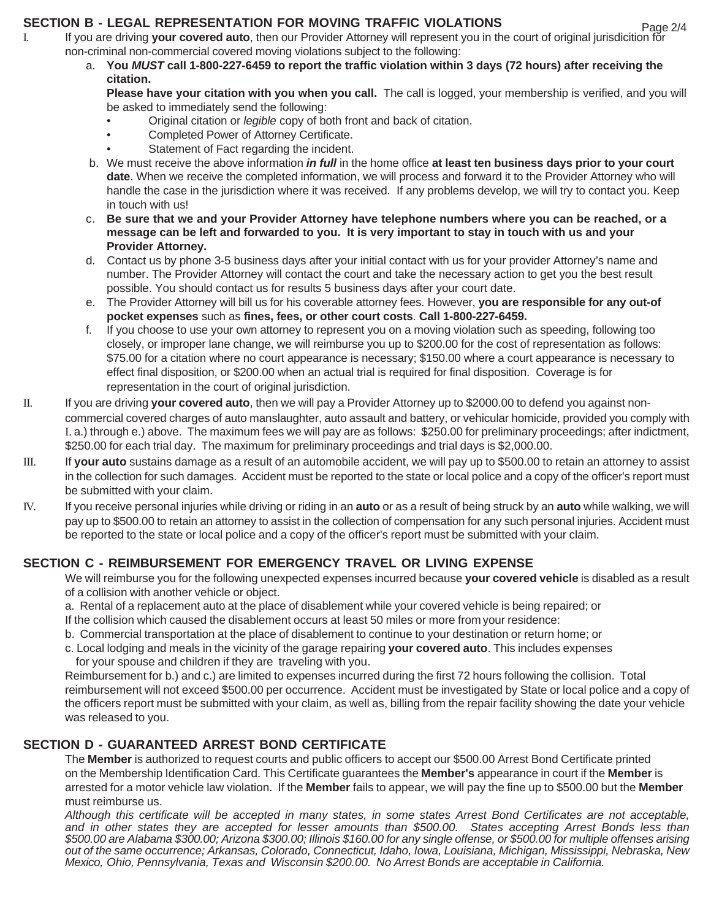### **SECTION B - LEGAL REPRESENTATION FOR MOVING TRAFFIC VIOLATIONS**

- I. If you are driving **your covered auto**, then our Provider Attorney will represent you in the court of original jurisdicition for non-criminal non-commercial covered moving violations subject to the following:
	- a. **You** *MUST* **call 1-800-227-6459 to report the traffic violation within 3 days (72 hours) after receiving the citation.**

**Please have your citation with you when you call.** The call is logged, your membership is verified, and you will be asked to immediately send the following:

- Original citation or *legible* copy of both front and back of citation.
- Completed Power of Attorney Certificate.
- Statement of Fact regarding the incident.
- b. We must receive the above information *in full* in the home office **at least ten business days prior to your court date**. When we receive the completed information, we will process and forward it to the Provider Attorney who will handle the case in the jurisdiction where it was received. If any problems develop, we will try to contact you. Keep in touch with us!
- c. **Be sure that we and your Provider Attorney have telephone numbers where you can be reached, or a message can be left and forwarded to you. It is very important to stay in touch with us and your Provider Attorney.**
- d. Contact us by phone 3-5 business days after your initial contact with us for your provider Attorney's name and number. The Provider Attorney will contact the court and take the necessary action to get you the best result possible. You should contact us for results 5 business days after your court date.
- e. The Provider Attorney will bill us for his coverable attorney fees. However, **you are responsible for any out-of pocket expenses** such as **fines, fees, or other court costs**. **Call 1-800-227-6459.**
- f. If you choose to use your own attorney to represent you on a moving violation such as speeding, following too closely, or improper lane change, we will reimburse you up to \$200.00 for the cost of representation as follows: \$75.00 for a citation where no court appearance is necessary; \$150.00 where a court appearance is necessary to effect final disposition, or \$200.00 when an actual trial is required for final disposition. Coverage is for representation in the court of original jurisdiction.
- II. If you are driving **your covered auto**, then we will pay a Provider Attorney up to \$2000.00 to defend you against noncommercial covered charges of auto manslaughter, auto assault and battery, or vehicular homicide, provided you comply with I. a.) through e.) above. The maximum fees we will pay are as follows: \$250.00 for preliminary proceedings; after indictment, \$250.00 for each trial day. The maximum for preliminary proceedings and trial days is \$2,000.00.
- III. If **your auto** sustains damage as a result of an automobile accident, we will pay up to \$500.00 to retain an attorney to assist in the collection for such damages. Accident must be reported to the state or local police and a copy of the officer's report must be submitted with your claim.
- IV. If you receive personal injuries while driving or riding in an **auto** or as a result of being struck by an **auto** while walking, we will pay up to \$500.00 to retain an attorney to assist in the collection of compensation for any such personal injuries. Accident must be reported to the state or local police and a copy of the officer's report must be submitted with your claim.

# **SECTION C - REIMBURSEMENT FOR EMERGENCY TRAVEL OR LIVING EXPENSE**

We will reimburse you for the following unexpected expenses incurred because **your covered vehicle** is disabled as a result of a collision with another vehicle or object.

- a. Rental of a replacement auto at the place of disablement while your covered vehicle is being repaired; or If the collision which caused the disablement occurs at least 50 miles or more from your residence:
- b. Commercial transportation at the place of disablement to continue to your destination or return home; or
- c. Local lodging and meals in the vicinity of the garage repairing **your covered auto**. This includes expenses for your spouse and children if they are traveling with you.

Reimbursement for b.) and c.) are limited to expenses incurred during the first 72 hours following the collision. Total reimbursement will not exceed \$500.00 per occurrence. Accident must be investigated by State or local police and a copy of the officers report must be submitted with your claim, as well as, billing from the repair facility showing the date your vehicle was released to you.

### **SECTION D - GUARANTEED ARREST BOND CERTIFICATE**

The **Member** is authorized to request courts and public officers to accept our \$500.00 Arrest Bond Certificate printed on the Membership Identification Card. This Certificate guarantees the **Member's** appearance in court if the **Member** is arrested for a motor vehicle law violation. If the **Member** fails to appear, we will pay the fine up to \$500.00 but the **Member** must reimburse us.

*Although this certificate will be accepted in many states, in some states Arrest Bond Certificates are not acceptable, and in other states they are accepted for lesser amounts than \$500.00. States accepting Arrest Bonds less than \$500.00 are Alabama \$300.00; Arizona \$300.00; Illinois \$160.00 for any single offense, or \$500.00 for multiple offenses arising out of the same occurrence; Arkansas, Colorado, Connecticut, Idaho, Iowa, Louisiana, Michigan, Mississippi, Nebraska, New Mexico, Ohio, Pennsylvania, Texas and Wisconsin \$200.00. No Arrest Bonds are acceptable in California.*

Page 2/4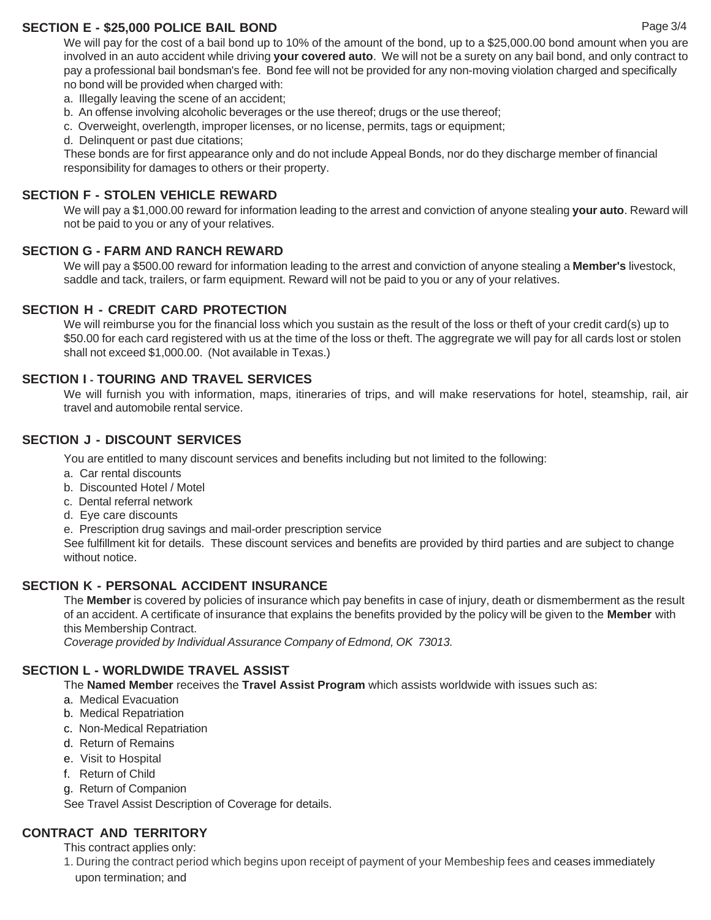### **SECTION E - \$25,000 POLICE BAIL BOND**

We will pay for the cost of a bail bond up to 10% of the amount of the bond, up to a \$25,000.00 bond amount when you are involved in an auto accident while driving **your covered auto**. We will not be a surety on any bail bond, and only contract to pay a professional bail bondsman's fee. Bond fee will not be provided for any non-moving violation charged and specifically no bond will be provided when charged with:

- a. Illegally leaving the scene of an accident;
- b. An offense involving alcoholic beverages or the use thereof; drugs or the use thereof;
- c. Overweight, overlength, improper licenses, or no license, permits, tags or equipment;
- d. Delinquent or past due citations;

These bonds are for first appearance only and do not include Appeal Bonds, nor do they discharge member of financial responsibility for damages to others or their property.

### **SECTION F - STOLEN VEHICLE REWARD**

We will pay a \$1,000.00 reward for information leading to the arrest and conviction of anyone stealing **your auto**. Reward will not be paid to you or any of your relatives.

#### **SECTION G - FARM AND RANCH REWARD**

We will pay a \$500.00 reward for information leading to the arrest and conviction of anyone stealing a **Member's** livestock, saddle and tack, trailers, or farm equipment. Reward will not be paid to you or any of your relatives.

#### **SECTION H - CREDIT CARD PROTECTION**

We will reimburse you for the financial loss which you sustain as the result of the loss or theft of your credit card(s) up to \$50.00 for each card registered with us at the time of the loss or theft. The aggregrate we will pay for all cards lost or stolen shall not exceed \$1,000.00. (Not available in Texas.)

### **SECTION I - TOURING AND TRAVEL SERVICES**

We will furnish you with information, maps, itineraries of trips, and will make reservations for hotel, steamship, rail, air travel and automobile rental service.

### **SECTION J - DISCOUNT SERVICES**

You are entitled to many discount services and benefits including but not limited to the following:

- a. Car rental discounts
- b. Discounted Hotel / Motel
- c. Dental referral network
- d. Eye care discounts
- e. Prescription drug savings and mail-order prescription service

See fulfillment kit for details. These discount services and benefits are provided by third parties and are subject to change without notice.

#### **SECTION K - PERSONAL ACCIDENT INSURANCE**

The **Member** is covered by policies of insurance which pay benefits in case of injury, death or dismemberment as the result of an accident. A certificate of insurance that explains the benefits provided by the policy will be given to the **Member** with this Membership Contract.

*Coverage provided by Individual Assurance Company of Edmond, OK 73013.*

#### **SECTION L - WORLDWIDE TRAVEL ASSIST**

The **Named Member** receives the **Travel Assist Program** which assists worldwide with issues such as:

- a. Medical Evacuation
- b. Medical Repatriation
- c. Non-Medical Repatriation
- d. Return of Remains
- e. Visit to Hospital
- f. Return of Child
- g. Return of Companion

See Travel Assist Description of Coverage for details.

### **CONTRACT AND TERRITORY**

This contract applies only:

1. During the contract period which begins upon receipt of payment of your Membeship fees and ceases immediately upon termination; and